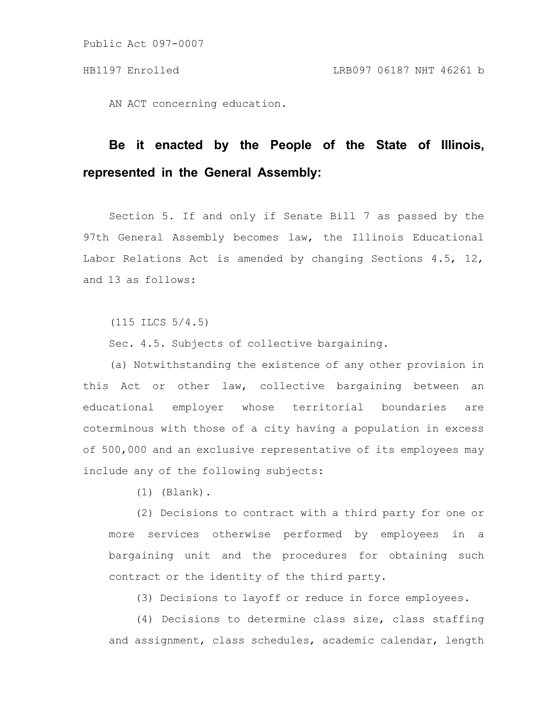AN ACT concerning education.

## **Be it enacted by the People of the State of Illinois, represented in the General Assembly:**

Section 5. If and only if Senate Bill 7 as passed by the 97th General Assembly becomes law, the Illinois Educational Labor Relations Act is amended by changing Sections 4.5, 12, and 13 as follows:

(115 ILCS 5/4.5)

Sec. 4.5. Subjects of collective bargaining.

(a) Notwithstanding the existence of any other provision in this Act or other law, collective bargaining between an educational employer whose territorial boundaries are coterminous with those of a city having a population in excess of 500,000 and an exclusive representative of its employees may include any of the following subjects:

(1) (Blank).

(2) Decisions to contract with a third party for one or more services otherwise performed by employees in a bargaining unit and the procedures for obtaining such contract or the identity of the third party.

(3) Decisions to layoff or reduce in force employees.

(4) Decisions to determine class size, class staffing and assignment, class schedules, academic calendar, length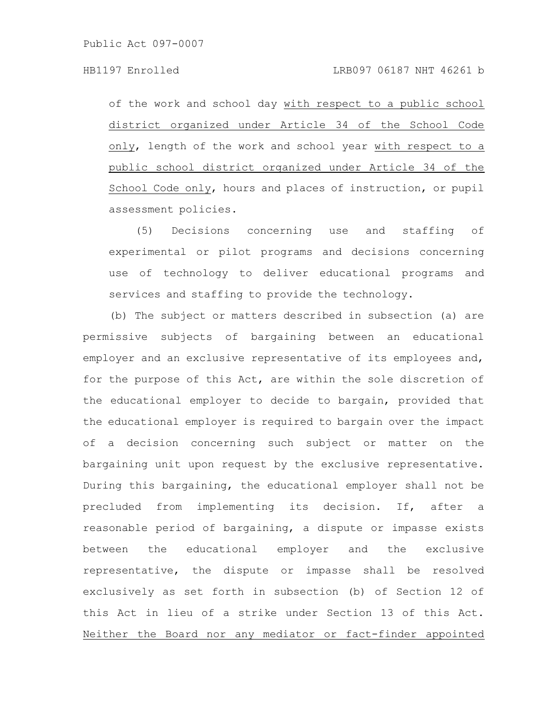of the work and school day with respect to a public school district organized under Article 34 of the School Code only, length of the work and school year with respect to a public school district organized under Article 34 of the School Code only, hours and places of instruction, or pupil assessment policies.

(5) Decisions concerning use and staffing of experimental or pilot programs and decisions concerning use of technology to deliver educational programs and services and staffing to provide the technology.

(b) The subject or matters described in subsection (a) are permissive subjects of bargaining between an educational employer and an exclusive representative of its employees and, for the purpose of this Act, are within the sole discretion of the educational employer to decide to bargain, provided that the educational employer is required to bargain over the impact of a decision concerning such subject or matter on the bargaining unit upon request by the exclusive representative. During this bargaining, the educational employer shall not be precluded from implementing its decision. If, after a reasonable period of bargaining, a dispute or impasse exists between the educational employer and the exclusive representative, the dispute or impasse shall be resolved exclusively as set forth in subsection (b) of Section 12 of this Act in lieu of a strike under Section 13 of this Act. Neither the Board nor any mediator or fact-finder appointed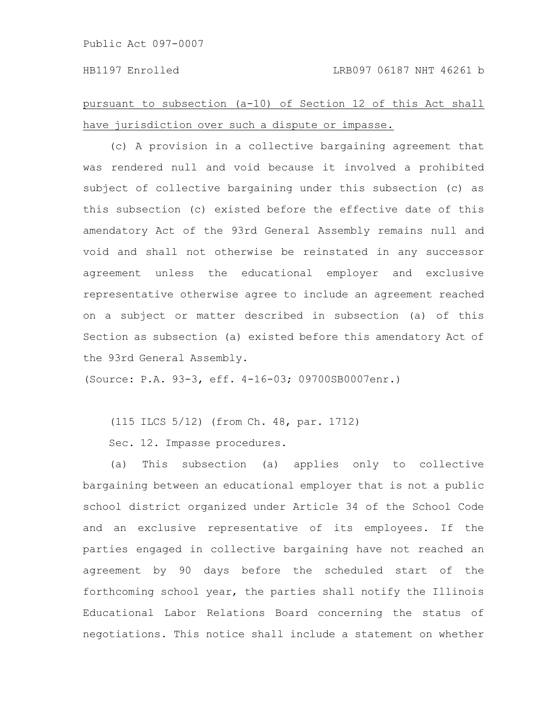pursuant to subsection (a-10) of Section 12 of this Act shall have jurisdiction over such a dispute or impasse.

(c) A provision in a collective bargaining agreement that was rendered null and void because it involved a prohibited subject of collective bargaining under this subsection (c) as this subsection (c) existed before the effective date of this amendatory Act of the 93rd General Assembly remains null and void and shall not otherwise be reinstated in any successor agreement unless the educational employer and exclusive representative otherwise agree to include an agreement reached on a subject or matter described in subsection (a) of this Section as subsection (a) existed before this amendatory Act of the 93rd General Assembly.

(Source: P.A. 93-3, eff. 4-16-03; 09700SB0007enr.)

(115 ILCS 5/12) (from Ch. 48, par. 1712)

Sec. 12. Impasse procedures.

(a) This subsection (a) applies only to collective bargaining between an educational employer that is not a public school district organized under Article 34 of the School Code and an exclusive representative of its employees. If the parties engaged in collective bargaining have not reached an agreement by 90 days before the scheduled start of the forthcoming school year, the parties shall notify the Illinois Educational Labor Relations Board concerning the status of negotiations. This notice shall include a statement on whether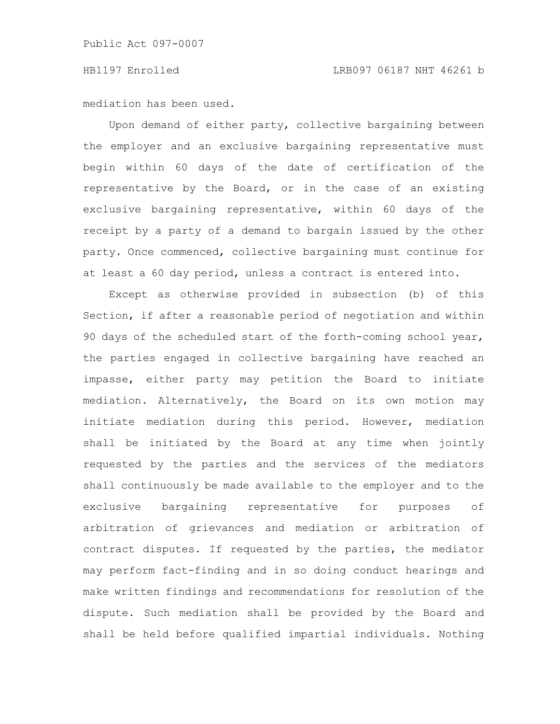mediation has been used.

Upon demand of either party, collective bargaining between the employer and an exclusive bargaining representative must begin within 60 days of the date of certification of the representative by the Board, or in the case of an existing exclusive bargaining representative, within 60 days of the receipt by a party of a demand to bargain issued by the other party. Once commenced, collective bargaining must continue for at least a 60 day period, unless a contract is entered into.

Except as otherwise provided in subsection (b) of this Section, if after a reasonable period of negotiation and within 90 days of the scheduled start of the forth-coming school year, the parties engaged in collective bargaining have reached an impasse, either party may petition the Board to initiate mediation. Alternatively, the Board on its own motion may initiate mediation during this period. However, mediation shall be initiated by the Board at any time when jointly requested by the parties and the services of the mediators shall continuously be made available to the employer and to the exclusive bargaining representative for purposes of arbitration of grievances and mediation or arbitration of contract disputes. If requested by the parties, the mediator may perform fact-finding and in so doing conduct hearings and make written findings and recommendations for resolution of the dispute. Such mediation shall be provided by the Board and shall be held before qualified impartial individuals. Nothing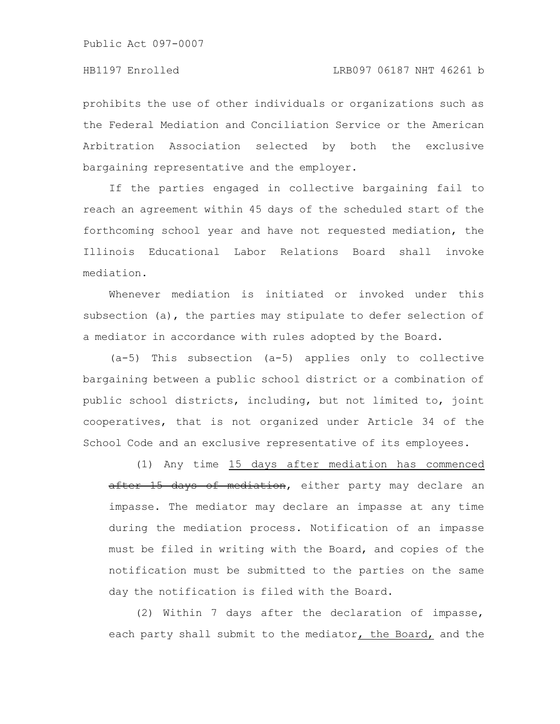prohibits the use of other individuals or organizations such as the Federal Mediation and Conciliation Service or the American Arbitration Association selected by both the exclusive bargaining representative and the employer.

If the parties engaged in collective bargaining fail to reach an agreement within 45 days of the scheduled start of the forthcoming school year and have not requested mediation, the Illinois Educational Labor Relations Board shall invoke mediation.

Whenever mediation is initiated or invoked under this subsection (a), the parties may stipulate to defer selection of a mediator in accordance with rules adopted by the Board.

(a-5) This subsection (a-5) applies only to collective bargaining between a public school district or a combination of public school districts, including, but not limited to, joint cooperatives, that is not organized under Article 34 of the School Code and an exclusive representative of its employees.

(1) Any time 15 days after mediation has commenced after 15 days of mediation, either party may declare an impasse. The mediator may declare an impasse at any time during the mediation process. Notification of an impasse must be filed in writing with the Board, and copies of the notification must be submitted to the parties on the same day the notification is filed with the Board.

(2) Within 7 days after the declaration of impasse, each party shall submit to the mediator, the Board, and the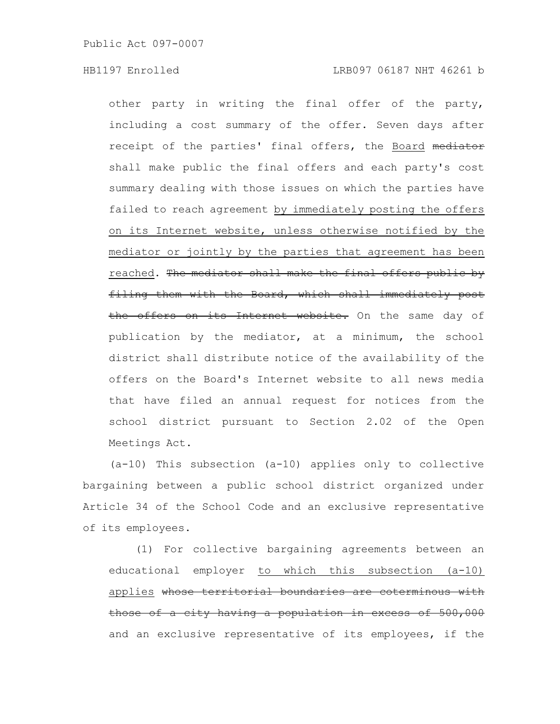other party in writing the final offer of the party, including a cost summary of the offer. Seven days after receipt of the parties' final offers, the Board mediator shall make public the final offers and each party's cost summary dealing with those issues on which the parties have failed to reach agreement by immediately posting the offers on its Internet website, unless otherwise notified by the mediator or jointly by the parties that agreement has been reached. The mediator shall make the final offers public by filing them with the Board, which shall immediately post the offers on its Internet website. On the same day of publication by the mediator, at a minimum, the school district shall distribute notice of the availability of the offers on the Board's Internet website to all news media that have filed an annual request for notices from the school district pursuant to Section 2.02 of the Open Meetings Act.

(a-10) This subsection (a-10) applies only to collective bargaining between a public school district organized under Article 34 of the School Code and an exclusive representative of its employees.

(1) For collective bargaining agreements between an educational employer to which this subsection (a-10) applies whose territorial boundaries are coterminous with those of a city having a population in excess of 500,000 and an exclusive representative of its employees, if the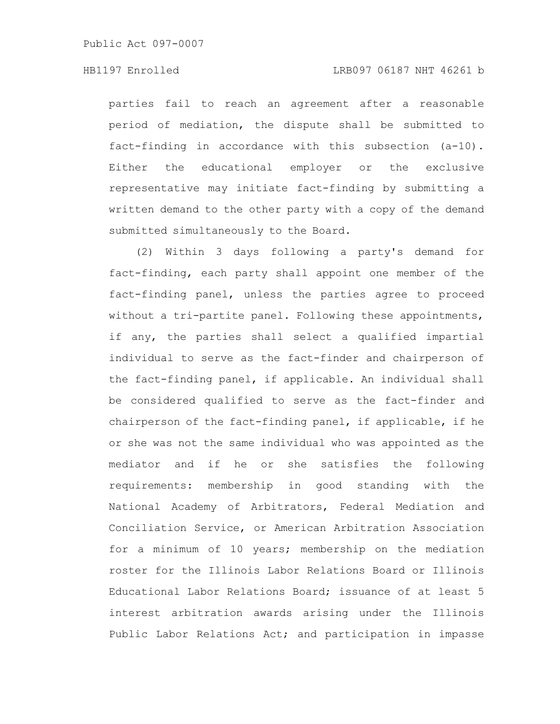parties fail to reach an agreement after a reasonable period of mediation, the dispute shall be submitted to fact-finding in accordance with this subsection (a-10). Either the educational employer or the exclusive representative may initiate fact-finding by submitting a written demand to the other party with a copy of the demand submitted simultaneously to the Board.

(2) Within 3 days following a party's demand for fact-finding, each party shall appoint one member of the fact-finding panel, unless the parties agree to proceed without a tri-partite panel. Following these appointments, if any, the parties shall select a qualified impartial individual to serve as the fact-finder and chairperson of the fact-finding panel, if applicable. An individual shall be considered qualified to serve as the fact-finder and chairperson of the fact-finding panel, if applicable, if he or she was not the same individual who was appointed as the mediator and if he or she satisfies the following requirements: membership in good standing with the National Academy of Arbitrators, Federal Mediation and Conciliation Service, or American Arbitration Association for a minimum of 10 years; membership on the mediation roster for the Illinois Labor Relations Board or Illinois Educational Labor Relations Board; issuance of at least 5 interest arbitration awards arising under the Illinois Public Labor Relations Act; and participation in impasse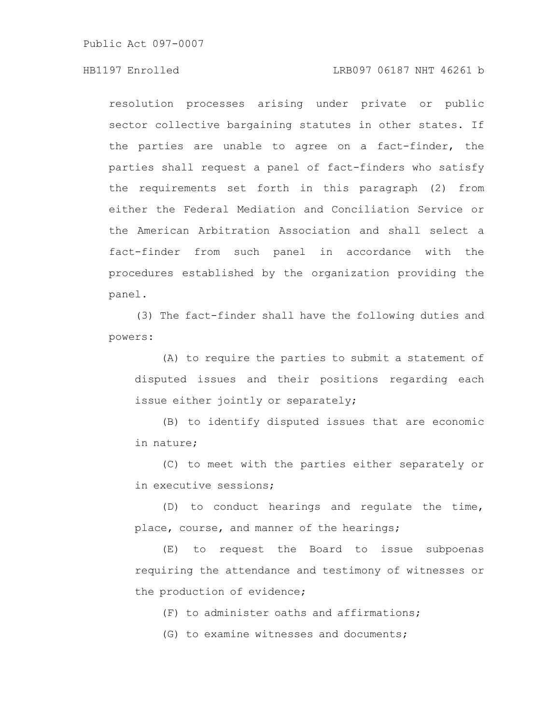## HB1197 Enrolled LRB097 06187 NHT 46261 b

resolution processes arising under private or public sector collective bargaining statutes in other states. If the parties are unable to agree on a fact-finder, the parties shall request a panel of fact-finders who satisfy the requirements set forth in this paragraph (2) from either the Federal Mediation and Conciliation Service or the American Arbitration Association and shall select a fact-finder from such panel in accordance with the procedures established by the organization providing the panel.

(3) The fact-finder shall have the following duties and powers:

(A) to require the parties to submit a statement of disputed issues and their positions regarding each issue either jointly or separately;

(B) to identify disputed issues that are economic in nature;

(C) to meet with the parties either separately or in executive sessions;

(D) to conduct hearings and regulate the time, place, course, and manner of the hearings;

(E) to request the Board to issue subpoenas requiring the attendance and testimony of witnesses or the production of evidence;

(F) to administer oaths and affirmations;

(G) to examine witnesses and documents;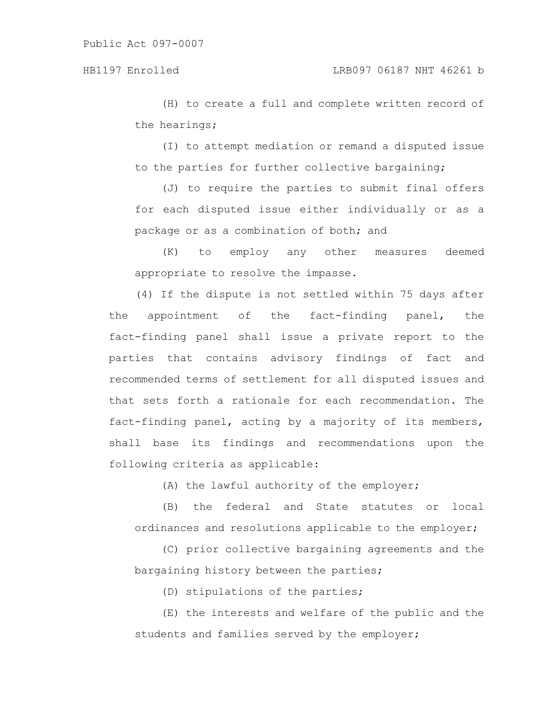(H) to create a full and complete written record of the hearings;

(I) to attempt mediation or remand a disputed issue to the parties for further collective bargaining;

(J) to require the parties to submit final offers for each disputed issue either individually or as a package or as a combination of both; and

(K) to employ any other measures deemed appropriate to resolve the impasse.

(4) If the dispute is not settled within 75 days after the appointment of the fact-finding panel, the fact-finding panel shall issue a private report to the parties that contains advisory findings of fact and recommended terms of settlement for all disputed issues and that sets forth a rationale for each recommendation. The fact-finding panel, acting by a majority of its members, shall base its findings and recommendations upon the following criteria as applicable:

(A) the lawful authority of the employer;

(B) the federal and State statutes or local ordinances and resolutions applicable to the employer;

(C) prior collective bargaining agreements and the bargaining history between the parties;

(D) stipulations of the parties;

(E) the interests and welfare of the public and the students and families served by the employer;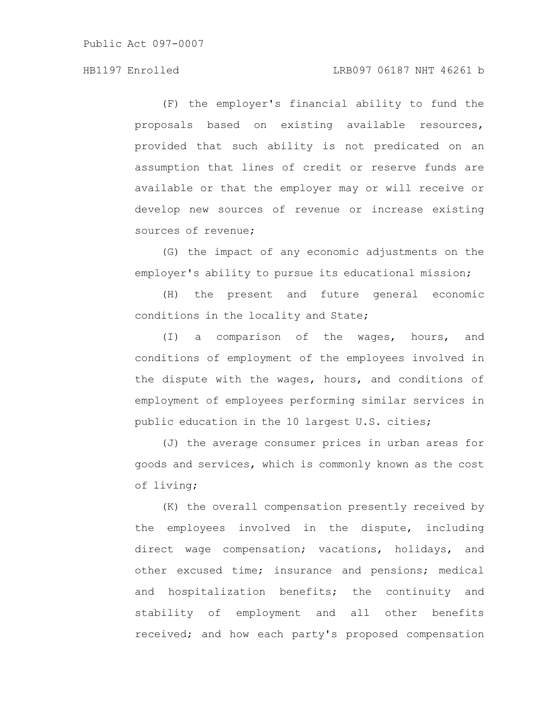## HB1197 Enrolled LRB097 06187 NHT 46261 b

(F) the employer's financial ability to fund the proposals based on existing available resources, provided that such ability is not predicated on an assumption that lines of credit or reserve funds are available or that the employer may or will receive or develop new sources of revenue or increase existing sources of revenue;

(G) the impact of any economic adjustments on the employer's ability to pursue its educational mission;

(H) the present and future general economic conditions in the locality and State;

(I) a comparison of the wages, hours, and conditions of employment of the employees involved in the dispute with the wages, hours, and conditions of employment of employees performing similar services in public education in the 10 largest U.S. cities;

(J) the average consumer prices in urban areas for goods and services, which is commonly known as the cost of living;

(K) the overall compensation presently received by the employees involved in the dispute, including direct wage compensation; vacations, holidays, and other excused time; insurance and pensions; medical and hospitalization benefits; the continuity and stability of employment and all other benefits received; and how each party's proposed compensation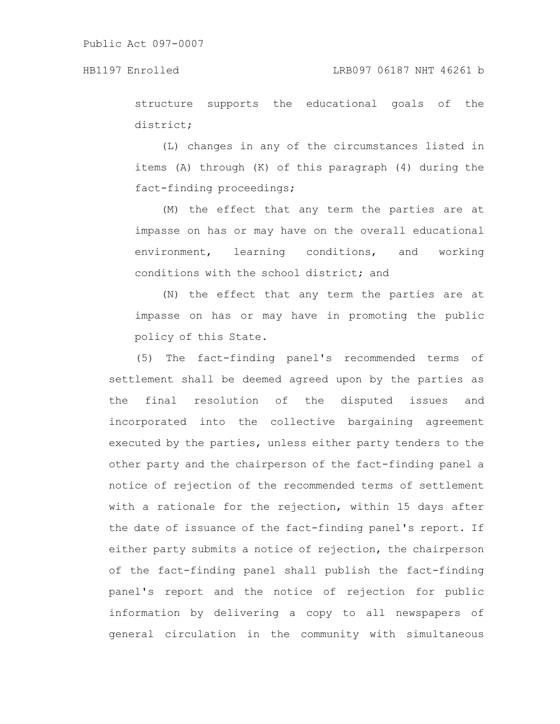structure supports the educational goals of the district;

(L) changes in any of the circumstances listed in items (A) through (K) of this paragraph (4) during the fact-finding proceedings;

(M) the effect that any term the parties are at impasse on has or may have on the overall educational environment, learning conditions, and working conditions with the school district; and

(N) the effect that any term the parties are at impasse on has or may have in promoting the public policy of this State.

(5) The fact-finding panel's recommended terms of settlement shall be deemed agreed upon by the parties as the final resolution of the disputed issues and incorporated into the collective bargaining agreement executed by the parties, unless either party tenders to the other party and the chairperson of the fact-finding panel a notice of rejection of the recommended terms of settlement with a rationale for the rejection, within 15 days after the date of issuance of the fact-finding panel's report. If either party submits a notice of rejection, the chairperson of the fact-finding panel shall publish the fact-finding panel's report and the notice of rejection for public information by delivering a copy to all newspapers of general circulation in the community with simultaneous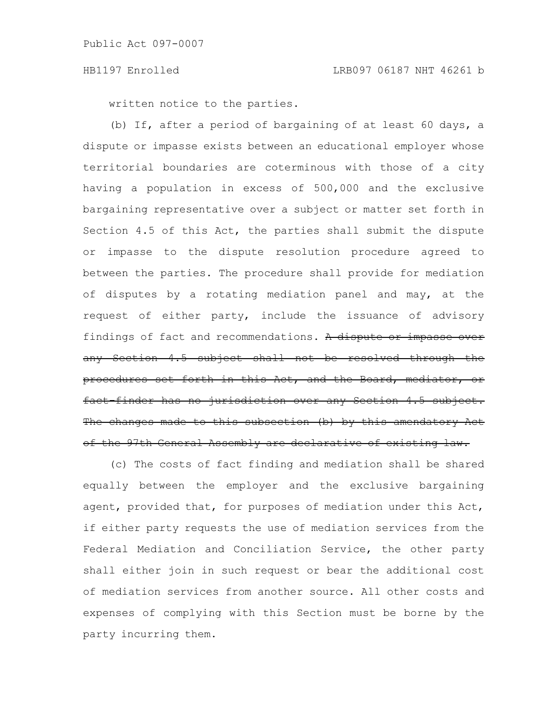written notice to the parties.

(b) If, after a period of bargaining of at least 60 days, a dispute or impasse exists between an educational employer whose territorial boundaries are coterminous with those of a city having a population in excess of 500,000 and the exclusive bargaining representative over a subject or matter set forth in Section 4.5 of this Act, the parties shall submit the dispute or impasse to the dispute resolution procedure agreed to between the parties. The procedure shall provide for mediation of disputes by a rotating mediation panel and may, at the request of either party, include the issuance of advisory findings of fact and recommendations. A dispute or impasse over any Section 4.5 subject shall not be resolved procedures set forth in this Act, and the Board, mediator, fact-finder has no jurisdiction over any Section The changes made to this subsection  $(b)$  by this amendatory of the 97th General Assembly are declarative of existing law.

(c) The costs of fact finding and mediation shall be shared equally between the employer and the exclusive bargaining agent, provided that, for purposes of mediation under this Act, if either party requests the use of mediation services from the Federal Mediation and Conciliation Service, the other party shall either join in such request or bear the additional cost of mediation services from another source. All other costs and expenses of complying with this Section must be borne by the party incurring them.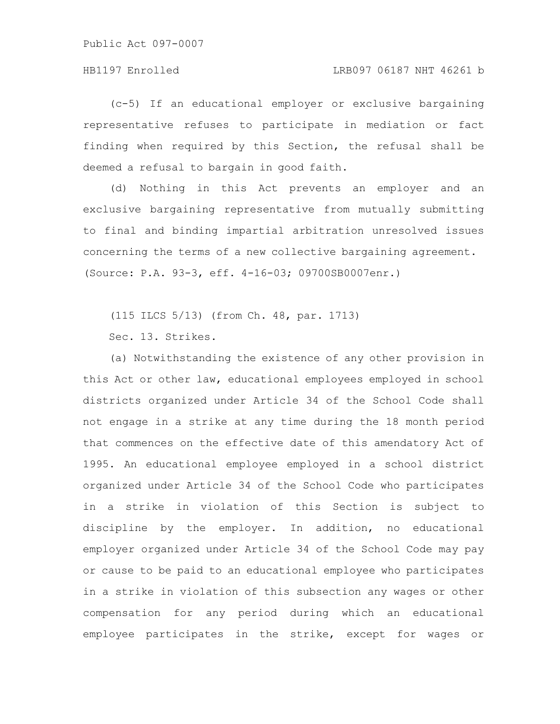(c-5) If an educational employer or exclusive bargaining representative refuses to participate in mediation or fact finding when required by this Section, the refusal shall be deemed a refusal to bargain in good faith.

(d) Nothing in this Act prevents an employer and an exclusive bargaining representative from mutually submitting to final and binding impartial arbitration unresolved issues concerning the terms of a new collective bargaining agreement. (Source: P.A. 93-3, eff. 4-16-03; 09700SB0007enr.)

(115 ILCS 5/13) (from Ch. 48, par. 1713)

Sec. 13. Strikes.

(a) Notwithstanding the existence of any other provision in this Act or other law, educational employees employed in school districts organized under Article 34 of the School Code shall not engage in a strike at any time during the 18 month period that commences on the effective date of this amendatory Act of 1995. An educational employee employed in a school district organized under Article 34 of the School Code who participates in a strike in violation of this Section is subject to discipline by the employer. In addition, no educational employer organized under Article 34 of the School Code may pay or cause to be paid to an educational employee who participates in a strike in violation of this subsection any wages or other compensation for any period during which an educational employee participates in the strike, except for wages or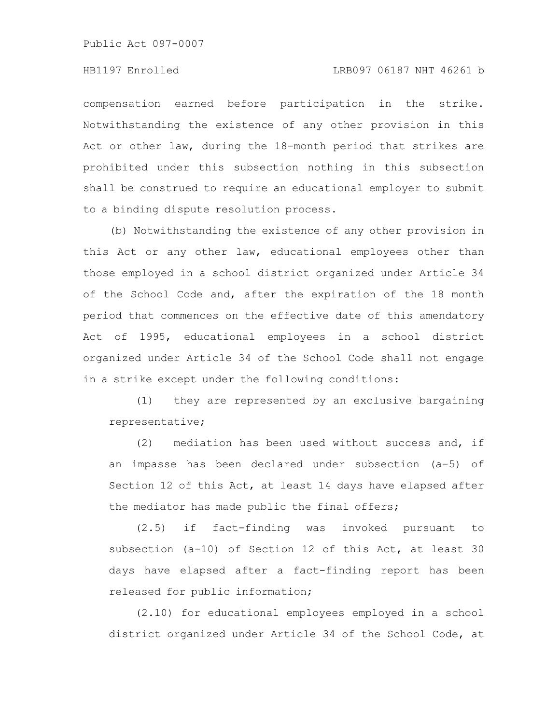compensation earned before participation in the strike. Notwithstanding the existence of any other provision in this Act or other law, during the 18-month period that strikes are prohibited under this subsection nothing in this subsection shall be construed to require an educational employer to submit to a binding dispute resolution process.

(b) Notwithstanding the existence of any other provision in this Act or any other law, educational employees other than those employed in a school district organized under Article 34 of the School Code and, after the expiration of the 18 month period that commences on the effective date of this amendatory Act of 1995, educational employees in a school district organized under Article 34 of the School Code shall not engage in a strike except under the following conditions:

(1) they are represented by an exclusive bargaining representative;

(2) mediation has been used without success and, if an impasse has been declared under subsection (a-5) of Section 12 of this Act, at least 14 days have elapsed after the mediator has made public the final offers;

(2.5) if fact-finding was invoked pursuant to subsection (a-10) of Section 12 of this Act, at least 30 days have elapsed after a fact-finding report has been released for public information;

(2.10) for educational employees employed in a school district organized under Article 34 of the School Code, at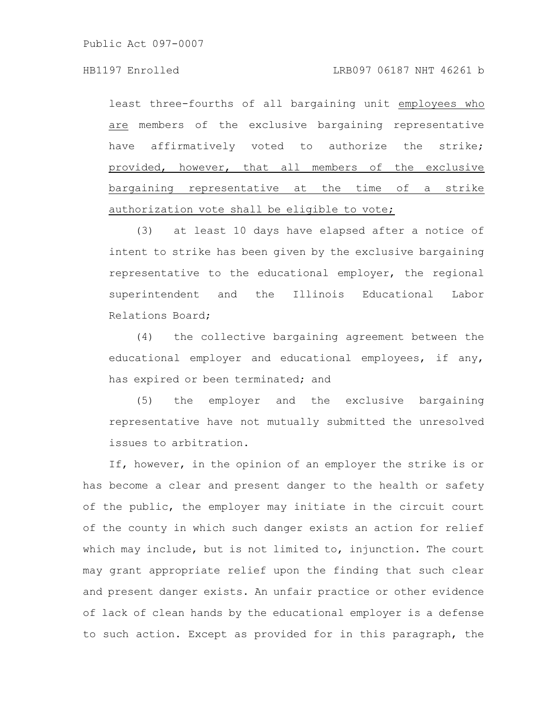least three-fourths of all bargaining unit employees who are members of the exclusive bargaining representative have affirmatively voted to authorize the strike; provided, however, that all members of the exclusive bargaining representative at the time of a strike authorization vote shall be eligible to vote;

(3) at least 10 days have elapsed after a notice of intent to strike has been given by the exclusive bargaining representative to the educational employer, the regional superintendent and the Illinois Educational Labor Relations Board;

(4) the collective bargaining agreement between the educational employer and educational employees, if any, has expired or been terminated; and

(5) the employer and the exclusive bargaining representative have not mutually submitted the unresolved issues to arbitration.

If, however, in the opinion of an employer the strike is or has become a clear and present danger to the health or safety of the public, the employer may initiate in the circuit court of the county in which such danger exists an action for relief which may include, but is not limited to, injunction. The court may grant appropriate relief upon the finding that such clear and present danger exists. An unfair practice or other evidence of lack of clean hands by the educational employer is a defense to such action. Except as provided for in this paragraph, the